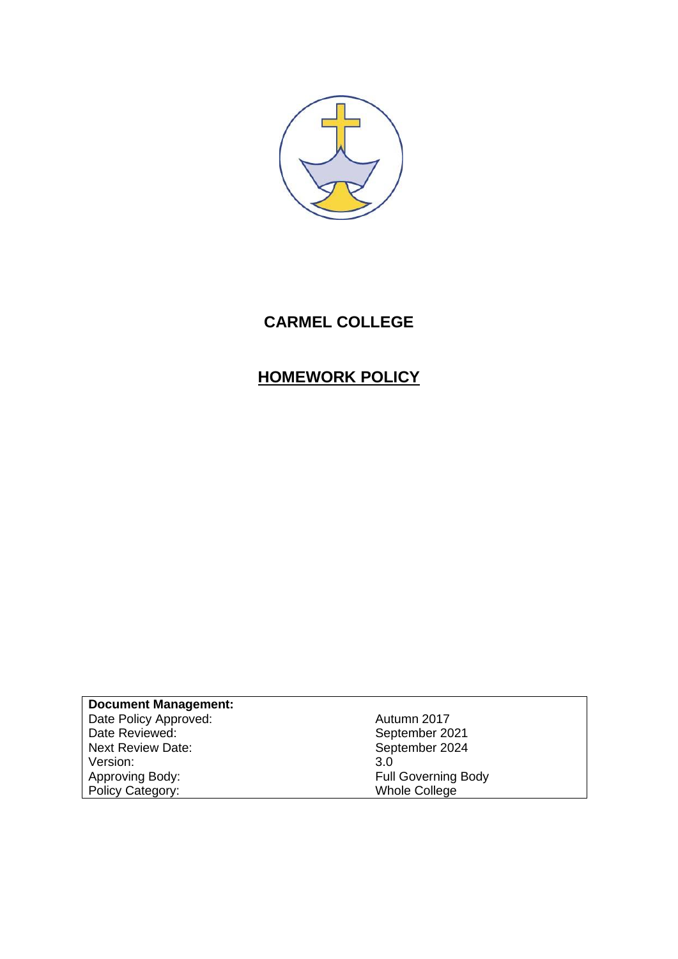

# **CARMEL COLLEGE**

# **HOMEWORK POLICY**

**Document Management:** Date Policy Approved: Contract Contract Autumn 2017 Date Reviewed: The September 2021 Next Review Date:<br>
Next Review Date:<br>
Version: 3.0<br>
3.0 Version:<br>Approving Body: Policy Category:

Full Governing Body<br>Whole College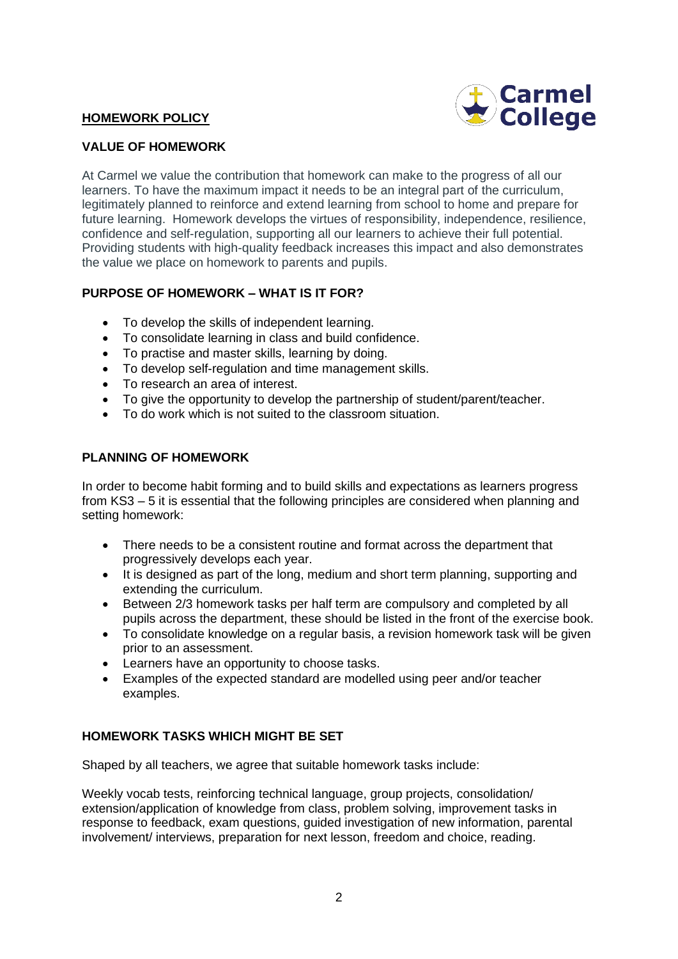## **HOMEWORK POLICY**



#### **VALUE OF HOMEWORK**

At Carmel we value the contribution that homework can make to the progress of all our learners. To have the maximum impact it needs to be an integral part of the curriculum, legitimately planned to reinforce and extend learning from school to home and prepare for future learning. Homework develops the virtues of responsibility, independence, resilience, confidence and self-regulation, supporting all our learners to achieve their full potential. Providing students with high-quality feedback increases this impact and also demonstrates the value we place on homework to parents and pupils.

## **PURPOSE OF HOMEWORK – WHAT IS IT FOR?**

- To develop the skills of independent learning.
- To consolidate learning in class and build confidence.
- To practise and master skills, learning by doing.
- To develop self-regulation and time management skills.
- To research an area of interest.
- To give the opportunity to develop the partnership of student/parent/teacher.
- To do work which is not suited to the classroom situation.

## **PLANNING OF HOMEWORK**

In order to become habit forming and to build skills and expectations as learners progress from KS3 – 5 it is essential that the following principles are considered when planning and setting homework:

- There needs to be a consistent routine and format across the department that progressively develops each year.
- It is designed as part of the long, medium and short term planning, supporting and extending the curriculum.
- Between 2/3 homework tasks per half term are compulsory and completed by all pupils across the department, these should be listed in the front of the exercise book.
- To consolidate knowledge on a regular basis, a revision homework task will be given prior to an assessment.
- Learners have an opportunity to choose tasks.
- Examples of the expected standard are modelled using peer and/or teacher examples.

## **HOMEWORK TASKS WHICH MIGHT BE SET**

Shaped by all teachers, we agree that suitable homework tasks include:

Weekly vocab tests, reinforcing technical language, group projects, consolidation/ extension/application of knowledge from class, problem solving, improvement tasks in response to feedback, exam questions, guided investigation of new information, parental involvement/ interviews, preparation for next lesson, freedom and choice, reading.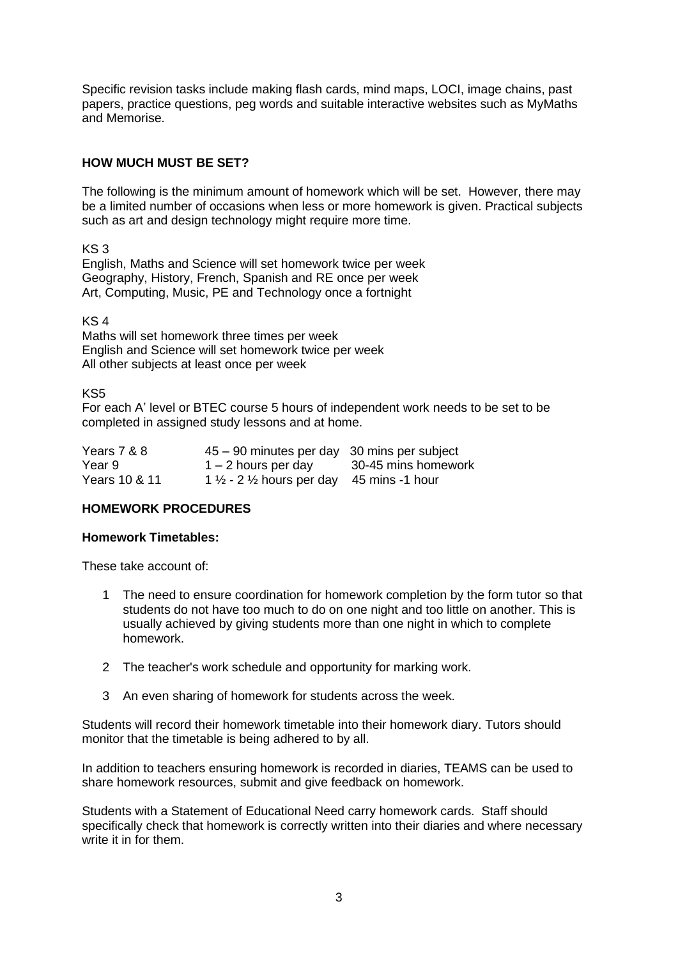Specific revision tasks include making flash cards, mind maps, LOCI, image chains, past papers, practice questions, peg words and suitable interactive websites such as MyMaths and Memorise.

## **HOW MUCH MUST BE SET?**

The following is the minimum amount of homework which will be set. However, there may be a limited number of occasions when less or more homework is given. Practical subjects such as art and design technology might require more time.

KS 3

English, Maths and Science will set homework twice per week Geography, History, French, Spanish and RE once per week Art, Computing, Music, PE and Technology once a fortnight

KS 4

Maths will set homework three times per week English and Science will set homework twice per week All other subjects at least once per week

KS5

For each A' level or BTEC course 5 hours of independent work needs to be set to be completed in assigned study lessons and at home.

| Years 7 & 8   | 45 – 90 minutes per day 30 mins per subject                     |                     |
|---------------|-----------------------------------------------------------------|---------------------|
| Year 9        | $1 - 2$ hours per day                                           | 30-45 mins homework |
| Years 10 & 11 | 1 $\frac{1}{2}$ - 2 $\frac{1}{2}$ hours per day 45 mins -1 hour |                     |

## **HOMEWORK PROCEDURES**

#### **Homework Timetables:**

These take account of:

- 1 The need to ensure coordination for homework completion by the form tutor so that students do not have too much to do on one night and too little on another. This is usually achieved by giving students more than one night in which to complete homework.
- 2 The teacher's work schedule and opportunity for marking work.
- 3 An even sharing of homework for students across the week.

Students will record their homework timetable into their homework diary. Tutors should monitor that the timetable is being adhered to by all.

In addition to teachers ensuring homework is recorded in diaries, TEAMS can be used to share homework resources, submit and give feedback on homework.

Students with a Statement of Educational Need carry homework cards. Staff should specifically check that homework is correctly written into their diaries and where necessary write it in for them.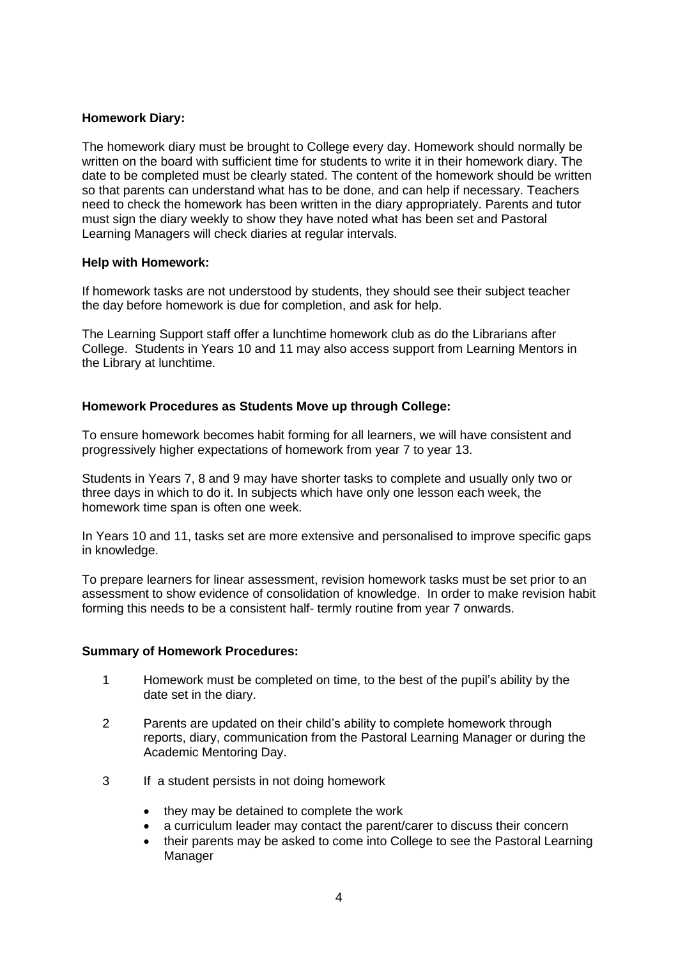## **Homework Diary:**

The homework diary must be brought to College every day. Homework should normally be written on the board with sufficient time for students to write it in their homework diary. The date to be completed must be clearly stated. The content of the homework should be written so that parents can understand what has to be done, and can help if necessary. Teachers need to check the homework has been written in the diary appropriately. Parents and tutor must sign the diary weekly to show they have noted what has been set and Pastoral Learning Managers will check diaries at regular intervals.

## **Help with Homework:**

If homework tasks are not understood by students, they should see their subject teacher the day before homework is due for completion, and ask for help.

The Learning Support staff offer a lunchtime homework club as do the Librarians after College. Students in Years 10 and 11 may also access support from Learning Mentors in the Library at lunchtime.

## **Homework Procedures as Students Move up through College:**

To ensure homework becomes habit forming for all learners, we will have consistent and progressively higher expectations of homework from year 7 to year 13.

Students in Years 7, 8 and 9 may have shorter tasks to complete and usually only two or three days in which to do it. In subjects which have only one lesson each week, the homework time span is often one week.

In Years 10 and 11, tasks set are more extensive and personalised to improve specific gaps in knowledge.

To prepare learners for linear assessment, revision homework tasks must be set prior to an assessment to show evidence of consolidation of knowledge. In order to make revision habit forming this needs to be a consistent half- termly routine from year 7 onwards.

#### **Summary of Homework Procedures:**

- 1 Homework must be completed on time, to the best of the pupil's ability by the date set in the diary.
- 2 Parents are updated on their child's ability to complete homework through reports, diary, communication from the Pastoral Learning Manager or during the Academic Mentoring Day.
- 3 If a student persists in not doing homework
	- they may be detained to complete the work
	- a curriculum leader may contact the parent/carer to discuss their concern
	- their parents may be asked to come into College to see the Pastoral Learning Manager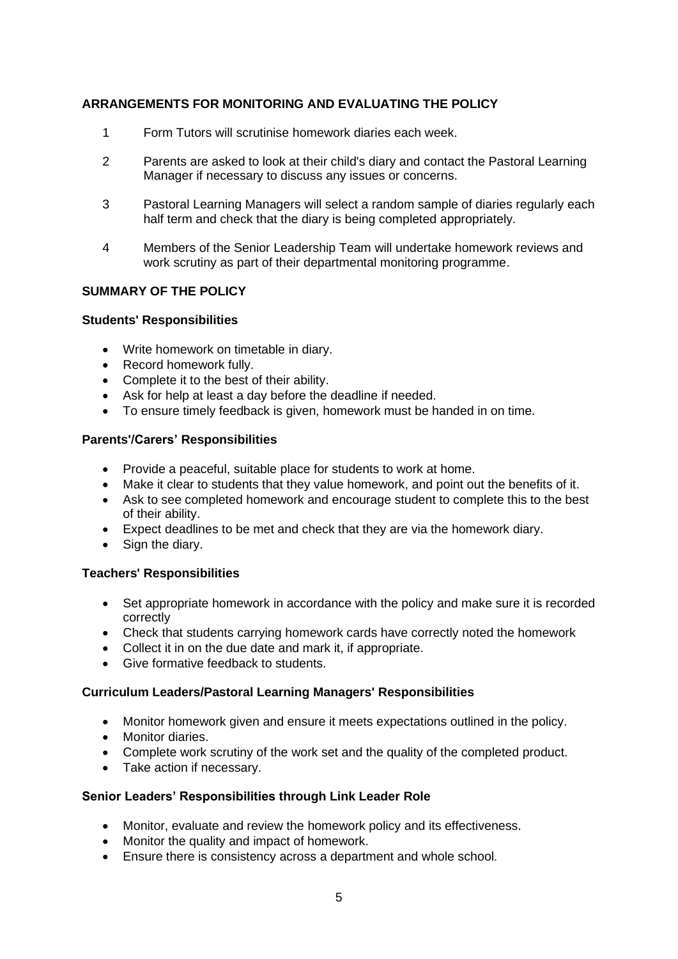## **ARRANGEMENTS FOR MONITORING AND EVALUATING THE POLICY**

- 1 Form Tutors will scrutinise homework diaries each week.
- 2 Parents are asked to look at their child's diary and contact the Pastoral Learning Manager if necessary to discuss any issues or concerns.
- 3 Pastoral Learning Managers will select a random sample of diaries regularly each half term and check that the diary is being completed appropriately.
- 4 Members of the Senior Leadership Team will undertake homework reviews and work scrutiny as part of their departmental monitoring programme.

## **SUMMARY OF THE POLICY**

## **Students' Responsibilities**

- Write homework on timetable in diary.
- Record homework fully.
- Complete it to the best of their ability.
- Ask for help at least a day before the deadline if needed.
- To ensure timely feedback is given, homework must be handed in on time.

## **Parents'/Carers' Responsibilities**

- Provide a peaceful, suitable place for students to work at home.
- Make it clear to students that they value homework, and point out the benefits of it.
- Ask to see completed homework and encourage student to complete this to the best of their ability.
- Expect deadlines to be met and check that they are via the homework diary.
- Sign the diary.

## **Teachers' Responsibilities**

- Set appropriate homework in accordance with the policy and make sure it is recorded correctly
- Check that students carrying homework cards have correctly noted the homework
- Collect it in on the due date and mark it, if appropriate.
- Give formative feedback to students.

## **Curriculum Leaders/Pastoral Learning Managers' Responsibilities**

- Monitor homework given and ensure it meets expectations outlined in the policy.
- Monitor diaries.
- Complete work scrutiny of the work set and the quality of the completed product.
- Take action if necessary.

## **Senior Leaders' Responsibilities through Link Leader Role**

- Monitor, evaluate and review the homework policy and its effectiveness.
- Monitor the quality and impact of homework.
- Ensure there is consistency across a department and whole school.